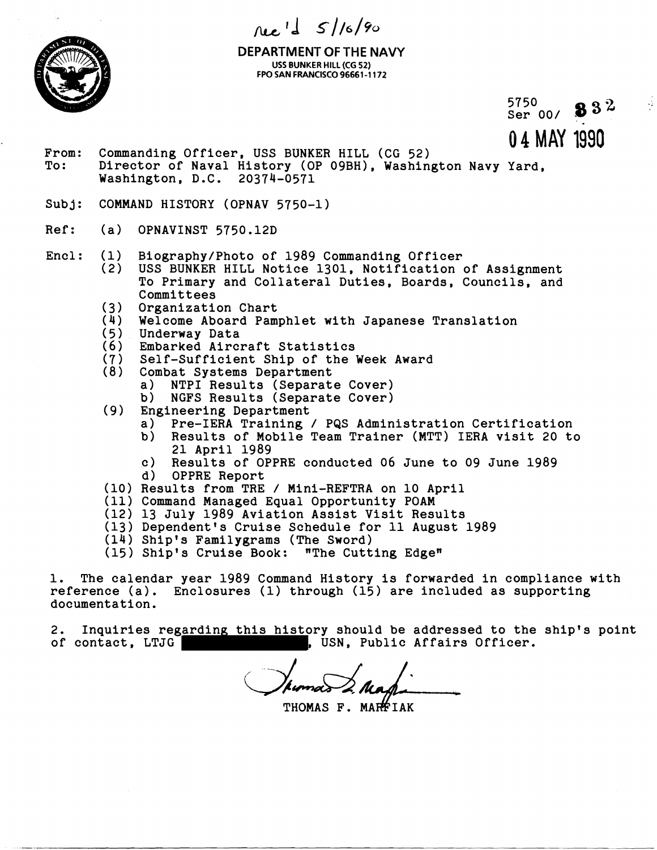$N_{e}$ <sup>1</sup>  $\frac{1}{2}$   $S/16/90$ 



**DEPARTMENT OF THE NAVY**  USS BUNKER **HILL** (CG 52) FPO SAN FRANCISCO 96661-1172

5750 Ser 00/ - **\$32** 

**0 4 MAY 1990** 

- From: Commanding Officer, USS BUNKER HILL (CG 52)<br>To: Director of Naval History (OP 09BH), Washin Director of Naval History (OP 09BH), Washington Navy Yard, Washington, D.C. 20374-0571
- Subj: COMMAND HISTORY (OPNAV 5750-1)
- Ref: (a) OPNAVINST 5750.12D
- Encl: (1) Biography/Photo of 1989 Commanding Officer<br>(2) USS BUNKER HILL Notice 1301. Notification
	- USS BUNKER HILL Notice 1301, Notification of Assignment To Primary and Collateral Duties, Boards, Councils, and Committees
	- (3) Organization Chart
	- (4) Welcome Aboard Pamphlet with Japanese Translation<br>(5) Underway Data
	- (5) Underway Data<br>(6) Embarked Airc
	- *(6)* Embarked Aircraft Statistics
	- (7) Self-Sufficient Ship of the Week Award
	- Combat Systems Department<br>a) NTPI Results (Separat
		- a) NTPI Results (Separate Cover)<br>b) NGFS Results (Separate Cover)
			- b) NGFS Results (Separate Cover)
	- (9) Engineering Department<br>a) Pre-IERA Training
		- a) Pre-IERA Training / PQS Administration Certification
		- b) Results of Mobile Team Trainer (MTT) IERA visit 20 to 21 April 1989
		- c) Results of OPPRE conducted 06 June to 09 June 1989
		- d) OPPRE Report
	- (10) Results from TRE / Mini-REFTRA on 10 April
	- (11) Command Managed Equal Opportunity POAM
	- (12) 13 July 1989 Aviation Assist Visit Results
	- (13) Dependent's Cruise Schedule for 11 August 1989
	- (14) Ship's Familygrams (The Sword)
	- (15) Ship's Cruise Book: "The Cutting Edgew

1. The calendar year 1989 Command History is forwarded in compliance with reference (a). Enclosures **(1)** through (15) are included as supporting documentation.

2. Inquiries regarding this history should be addressed to the ship's point of contact, LTJG , USN, Public Affairs Officer.

THOMAS F. MARFIAK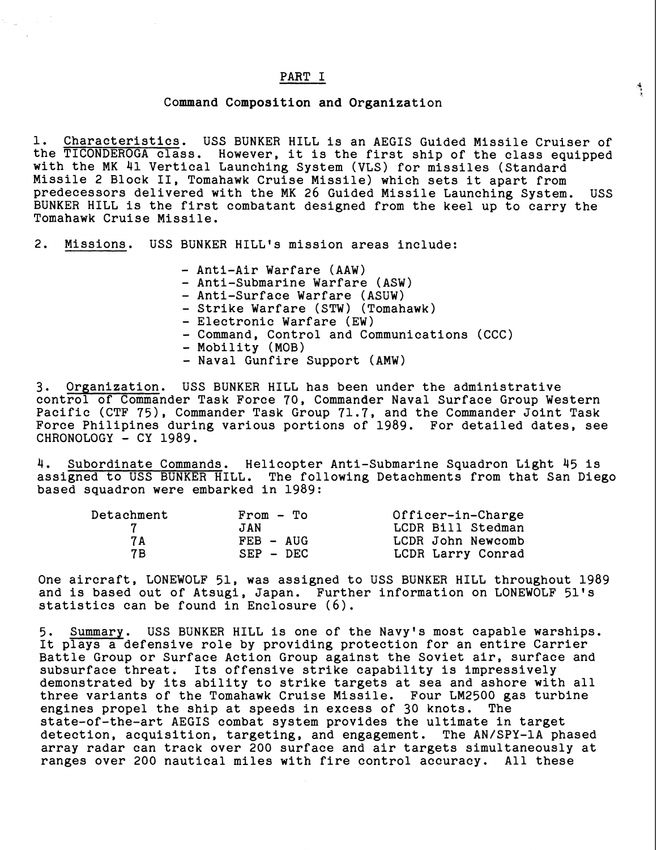### PART I

### Command Composition and Organization

1. Characteristics. USS BUNKER HILL is an AEGIS Guided Missile Cruiser of the TICONDEROGA class. However, it is the first ship of the class equipped with the MK 41 Vertical Launching System (VLS) for missiles (Standard Missile 2 Block 11, Tomahawk Cruise Missile) which sets it apart from predecessors delivered with the MK 26 Guided Missile Launching System. USS BUNKER HILL is the first combatant designed from the keel up to carry the Tomahawk Cruise Missile.

 $\frac{1}{\sqrt{2}}$ 

2. Missions. USS BUNKER HILL's mission areas include:

- Anti-Air Warfare (AAw)
- Anti-Submarine Warfare (ASW)
- Anti-Surface Warfare (ASUW)
- Strike Warfare (STW) (Tomahawk)
- Electronic Warfare (EW)
- Command, Control and Communications (CCC)
- Mobility (MOB)
- Naval Gunfire Support (AMW)

3. Organization. USS BUNKER HILL has been under the administrative control of Commander Task Force 70, Commander Naval Surface Group Western Pacific (CTF 75). Commander Task Group 71.7, and the Commander Joint Task Force Philipines during various portions of 1989. For detailed dates, see CHRONOLOGY - CY 1989.

4. Subordinate Commands. Helicopter Anti-Submarine Squadron Light 45 is assigned to USS BUNKER HILL. The following Detachments from that San Diego based squadron were embarked in 1989:

| Detachment | $From - To$ | Officer-in-Charge |
|------------|-------------|-------------------|
|            | JAN         | LCDR Bill Stedman |
| 7 A        | $FEB - AUG$ | LCDR John Newcomb |
| 7 B        | $SEP - DEC$ | LCDR Larry Conrad |

One aircraft, LONEWOLF 51, was assigned to USS BUNKER HILL throughout 1989 and is based out of Atsugi, Japan. Further information on LONEWOLF 51's statistics can be found in Enclosure **(6).** 

5. Summary. USS BUNKER HILL is one of the Navyts most capable warships. It plays a defensive role by providing protection for an entire Carrier Battle Group or Surface Action Group against the Soviet air, surface and subsurface threat. Its offensive strike capability is impressively demonstrated by its ability to strike targets at sea and ashore with all three variants of the Tomahawk Cruise Missile. Four LM2500 gas turbine engines propel the ship at speeds in excess of 30 knots. state-of-the-art AEGIS combat system provides the ultimate in target detection, acquisition, targeting, and engagement. The AN/SPY-1A phased array radar can track over 200 surface and air targets simultaneously at ranges over 200 nautical miles with fire control accuracy. All these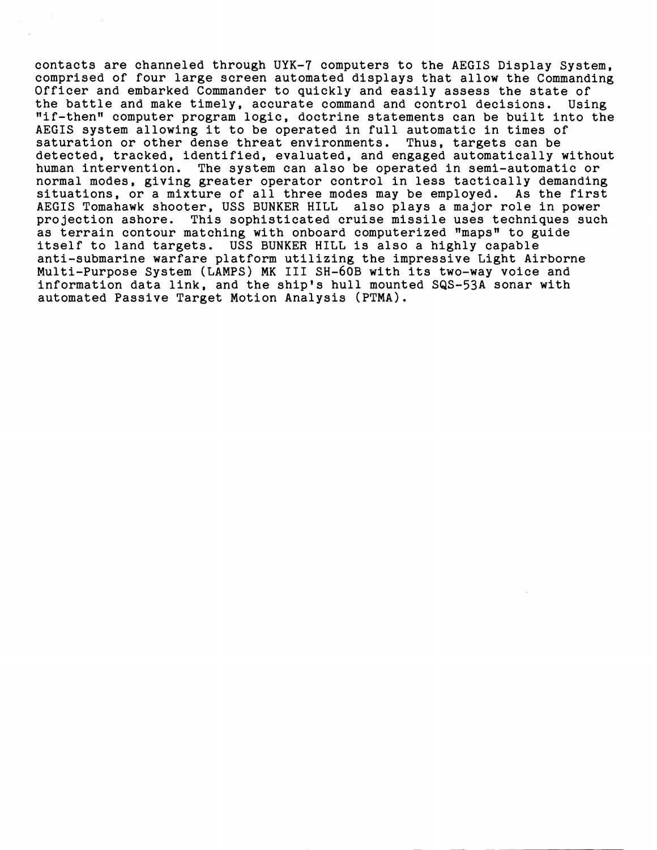contacts are channeled through UYK-7 computers to the AEGIS Display System, comprised of four large screen automated displays that allow the Commanding Officer and embarked Commander to quickly and easily assess the state of the battle and make timely, accurate command and control decisions. Using "if-thenn computer program logic, doctrine statements can be built into the AEGIS system allowing it to be operated in full automatic in times of saturation or other dense threat environments. Thus, targets can be detected, tracked, identified, evaluated, and engaged automatically without human intervention. The system can also be operated in semi-automatic or normal modes, giving greater operator control in less tactically demanding situations, or a mixture of all three modes may be employed. As the first<br>AEGIS Tomahawk shooter, USS BUNKER HILL also plays a major role in power AEGIS Tomahawk shooter, USS BUNKER HILL projection ashore. This sophisticated cruise missile uses techniques such as terrain contour matching with onboard computerized "maps" to guide itself to land targets. USS BUNKER HILL is also a highly capable anti-submarine warfare platform utilizing the impressive Light Airborne Multi-Purpose System (LAMPS) MK I11 SH-6OB with its two-way voice and information data link, and the ship's hull mounted SQS-53A sonar with automated Passive Target Motion Analysis (PTMA).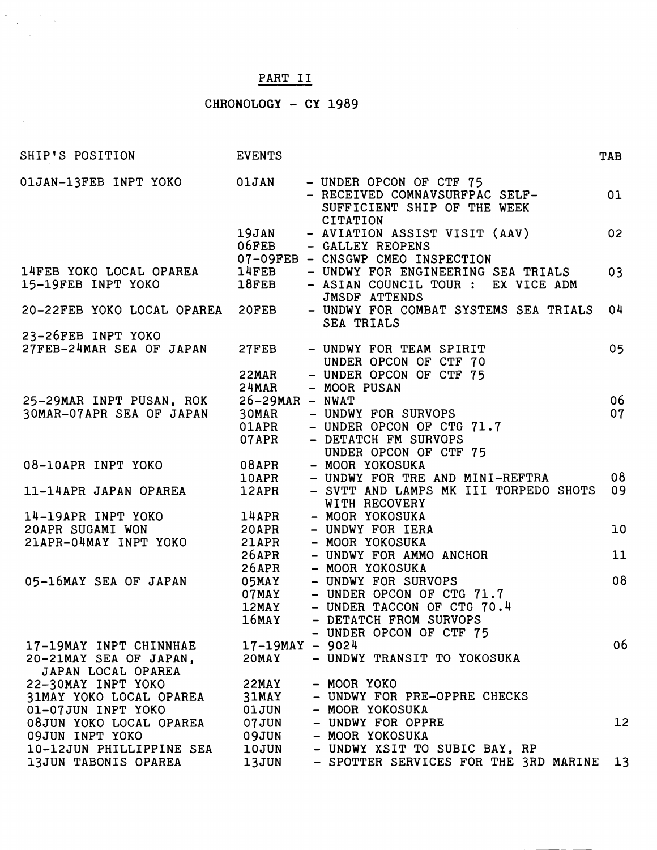# PART I1

 $\begin{split} \partial \mathcal{E}^{(1)} &= \frac{1}{2} \left( \partial_{\theta} \mathcal{E}^{(1)} - \partial_{\theta} \mathcal{E}^{(1)} \right) \\ &= \frac{1}{2} \left( \partial_{\theta} \mathcal{E}^{(1)} - \partial_{\theta} \mathcal{E}^{(1)} \right) \end{split}$ 

# CHRONOLOGY - CY 1989

| SHIP'S POSITION                                      | <b>EVENTS</b>              |                                                                                                               | TAB             |
|------------------------------------------------------|----------------------------|---------------------------------------------------------------------------------------------------------------|-----------------|
| 01JAN-13FEB INPT YOKO                                | <b>OlJAN</b>               | - UNDER OPCON OF CTF 75<br>- RECEIVED COMNAVSURFPAC SELF-<br>SUFFICIENT SHIP OF THE WEEK<br><b>CITATION</b>   | 01              |
|                                                      | 19JAN<br>06FEB             | - AVIATION ASSIST VISIT (AAV)<br>- GALLEY REOPENS                                                             | 02              |
| 14FEB YOKO LOCAL OPAREA<br>15-19FEB INPT YOKO        | 14FEB<br>18FEB             | 07-09FEB - CNSGWP CMEO INSPECTION<br>- UNDWY FOR ENGINEERING SEA TRIALS<br>- ASIAN COUNCIL TOUR : EX VICE ADM | 03              |
| 20-22FEB YOKO LOCAL OPAREA                           | 20FEB                      | <b>JMSDF ATTENDS</b><br>- UNDWY FOR COMBAT SYSTEMS SEA TRIALS<br>SEA TRIALS                                   | 04              |
| 23-26FEB INPT YOKO                                   |                            |                                                                                                               |                 |
| 27FEB-24MAR SEA OF JAPAN                             | 27FEB                      | - UNDWY FOR TEAM SPIRIT<br>UNDER OPCON OF CTF 70                                                              | 05              |
|                                                      | 22MAR                      | - UNDER OPCON OF CTF 75                                                                                       |                 |
|                                                      | 24MAR                      | - MOOR PUSAN                                                                                                  |                 |
| 25-29MAR INPT PUSAN, ROK<br>30MAR-07APR SEA OF JAPAN | $26-29MAR - NWAT$<br>30MAR | - UNDWY FOR SURVOPS                                                                                           | 06<br>07        |
|                                                      | 01APR                      | - UNDER OPCON OF CTG 71.7                                                                                     |                 |
|                                                      | 07APR                      | - DETATCH FM SURVOPS                                                                                          |                 |
|                                                      |                            | UNDER OPCON OF CTF 75                                                                                         |                 |
| 08-10APR INPT YOKO                                   | 08APR                      | - MOOR YOKOSUKA                                                                                               |                 |
|                                                      | <b>10APR</b>               | - UNDWY FOR TRE AND MINI-REFTRA                                                                               | 08              |
| 11-14APR JAPAN OPAREA                                | 12APR                      | - SVTT AND LAMPS MK III TORPEDO SHOTS<br>WITH RECOVERY                                                        | 09              |
| 14-19APR INPT YOKO                                   | 14APR                      | - MOOR YOKOSUKA                                                                                               |                 |
| 20APR SUGAMI WON                                     | 20APR                      | - UNDWY FOR IERA                                                                                              | 10              |
| 21APR-04MAY INPT YOKO                                | 21APR                      | - MOOR YOKOSUKA                                                                                               |                 |
|                                                      | 26APR                      | - UNDWY FOR AMMO ANCHOR                                                                                       | 11              |
|                                                      | 26APR                      | - MOOR YOKOSUKA                                                                                               |                 |
| 05-16MAY SEA OF JAPAN                                | 05MAY                      | - UNDWY FOR SURVOPS                                                                                           | 08              |
|                                                      | 07MAY                      | - UNDER OPCON OF CTG 71.7                                                                                     |                 |
|                                                      | 12MAY<br>$16$ MAY          | - UNDER TACCON OF CTG 70.4<br>- DETATCH FROM SURVOPS                                                          |                 |
|                                                      |                            | - UNDER OPCON OF CTF 75                                                                                       |                 |
| 17-19MAY INPT CHINNHAE                               | $17-19$ MAY - 9024         |                                                                                                               | 06              |
| 20-21MAY SEA OF JAPAN,<br>JAPAN LOCAL OPAREA         | 20MAY                      | - UNDWY TRANSIT TO YOKOSUKA                                                                                   |                 |
| 22-30MAY INPT YOKO                                   | 22MAY                      | - MOOR YOKO                                                                                                   |                 |
| <b>31MAY YOKO LOCAL OPAREA</b>                       | 31MAY                      | - UNDWY FOR PRE-OPPRE CHECKS                                                                                  |                 |
| 01-07JUN INPT YOKO                                   | 01JUN                      | - MOOR YOKOSUKA                                                                                               |                 |
| 08JUN YOKO LOCAL OPAREA                              | 07JUN                      | - UNDWY FOR OPPRE                                                                                             | 12 <sup>2</sup> |
| 09JUN INPT YOKO                                      | 09JUN                      | - MOOR YOKOSUKA                                                                                               |                 |
| 10-12JUN PHILLIPPINE SEA                             | <b>10JUN</b>               | - UNDWY XSIT TO SUBIC BAY, RP                                                                                 |                 |
| 13JUN TABONIS OPAREA                                 | 13JUN                      | - SPOTTER SERVICES FOR THE 3RD MARINE                                                                         | 13              |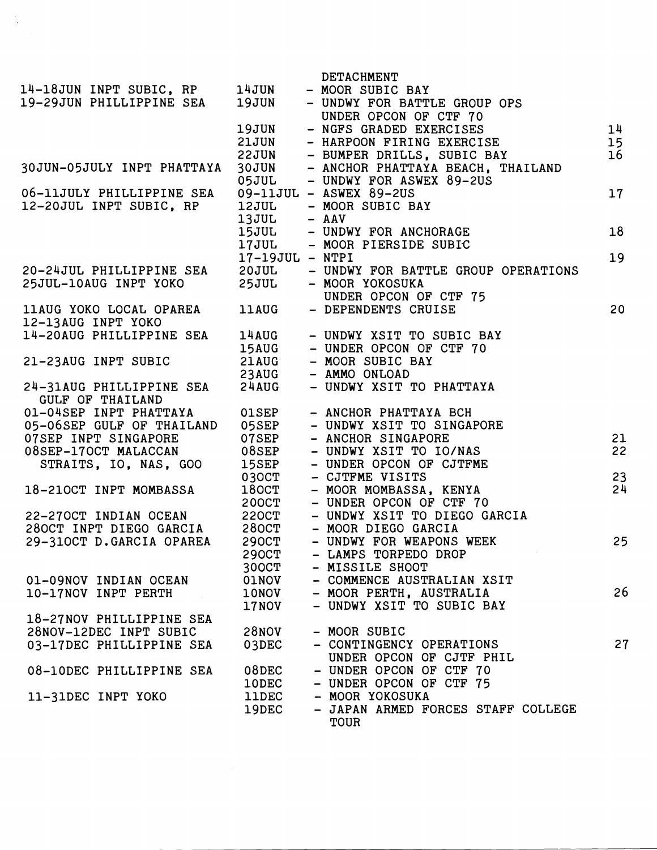|                            |                   | DETACHMENT                                                 |                 |
|----------------------------|-------------------|------------------------------------------------------------|-----------------|
| 14-18JUN INPT SUBIC, RP    | 14JUN             | - MOOR SUBIC BAY                                           |                 |
| 19-29JUN PHILLIPPINE SEA   | 19JUN             | - UNDWY FOR BATTLE GROUP OPS                               |                 |
|                            |                   | UNDER OPCON OF CTF 70                                      |                 |
|                            | 19JUN             | - NGFS GRADED EXERCISES                                    | 14              |
|                            | 21JUN             | - HARPOON FIRING EXERCISE                                  | 15 <sub>1</sub> |
|                            |                   |                                                            |                 |
|                            | 22JUN             | - BUMPER DRILLS, SUBIC BAY                                 | 16              |
| 30JUN-05JULY INPT PHATTAYA | 30JUN             | - ANCHOR PHATTAYA BEACH, THAILAND                          |                 |
|                            | <b>05JUL</b>      | - UNDWY FOR ASWEX 89-2US                                   |                 |
| 06-11JULY PHILLIPPINE SEA  |                   | 09-11JUL - ASWEX 89-2US                                    | 17              |
| 12-20JUL INPT SUBIC, RP    | <b>12JUL</b>      | - MOOR SUBIC BAY                                           |                 |
|                            | 13JUL             | $-$ AAV                                                    |                 |
|                            |                   | 153UL - UNDWY FOR ANCHORAGE<br>17JUL - MOOR PIERSIDE SUBIC | 18              |
|                            |                   |                                                            |                 |
|                            | $17-19JUL - NTPI$ |                                                            | 19              |
| 20-24JUL PHILLIPPINE SEA   | 20JUL             | - UNDWY FOR BATTLE GROUP OPERATIONS                        |                 |
| 25JUL-10AUG INPT YOKO      | <b>25JUL</b>      | - MOOR YOKOSUKA                                            |                 |
|                            |                   | UNDER OPCON OF CTF 75                                      |                 |
|                            |                   |                                                            |                 |
| 11AUG YOKO LOCAL OPAREA    | <b>11AUG</b>      | - DEPENDENTS CRUISE                                        | 20              |
| 12-13AUG INPT YOKO         |                   |                                                            |                 |
| 14-20AUG PHILLIPPINE SEA   | 14AUG             | - UNDWY XSIT TO SUBIC BAY                                  |                 |
|                            | <b>15AUG</b>      | - UNDER OPCON OF CTF 70                                    |                 |
| 21-23AUG INPT SUBIC        | 21AUG             | - MOOR SUBIC BAY                                           |                 |
|                            | 23AUG             | - AMMO ONLOAD                                              |                 |
| 24-31AUG PHILLIPPINE SEA   | 24AUG             | - UNDWY XSIT TO PHATTAYA                                   |                 |
| GULF OF THAILAND           |                   |                                                            |                 |
| 01-04SEP INPT PHATTAYA     | $01$ SEP          | - ANCHOR PHATTAYA BCH                                      |                 |
| 05-06SEP GULF OF THAILAND  | 05SEP             | - UNDWY XSIT TO SINGAPORE                                  |                 |
| 07SEP INPT SINGAPORE       | 07SEP             | - ANCHOR SINGAPORE                                         | 21              |
| 08SEP-17OCT MALACCAN       | 08SEP             | - UNDWY XSIT TO IO/NAS                                     | 22              |
| STRAITS, IO, NAS, GOO      |                   | - UNDER OPCON OF CJTFME                                    |                 |
|                            | 15SEP             |                                                            |                 |
|                            | 030CT             | - CJTFME VISITS                                            | 23              |
| 18-210CT INPT MOMBASSA     | $180C$ T          | - MOOR MOMBASSA, KENYA                                     | 24              |
|                            | 200CT             | - UNDER OPCON OF CTF 70                                    |                 |
| 22-270CT INDIAN OCEAN      | <b>220CT</b>      | - UNDWY XSIT TO DIEGO GARCIA                               |                 |
| 280CT INPT DIEGO GARCIA    | 280CT             | - MOOR DIEGO GARCIA                                        |                 |
| 29-310CT D.GARCIA OPAREA   | <b>290CT</b>      | - UNDWY FOR WEAPONS WEEK                                   | 25              |
|                            | <b>290CT</b>      | - LAMPS TORPEDO DROP                                       |                 |
|                            | 300CT             | - MISSILE SHOOT                                            |                 |
| 01-09NOV INDIAN OCEAN      | <b>OlNOV</b>      | - COMMENCE AUSTRALIAN XSIT                                 |                 |
| 10-17NOV INPT PERTH        | 10NOV             | - MOOR PERTH, AUSTRALIA                                    | 26              |
|                            | 17NOV             | - UNDWY XSIT TO SUBIC BAY                                  |                 |
| 18-27NOV PHILLIPPINE SEA   |                   |                                                            |                 |
|                            |                   |                                                            |                 |
| 28NOV-12DEC INPT SUBIC     | <b>28NOV</b>      | - MOOR SUBIC                                               |                 |
| 03-17DEC PHILLIPPINE SEA   | 03DEC             | - CONTINGENCY OPERATIONS                                   | 27              |
|                            |                   | UNDER OPCON OF CJTF PHIL                                   |                 |
| 08-10DEC PHILLIPPINE SEA   | 08DEC             | - UNDER OPCON OF CTF 70                                    |                 |
|                            | <b>10DEC</b>      | - UNDER OPCON OF CTF 75                                    |                 |
| 11-31DEC INPT YOKO         | <b>11DEC</b>      | - MOOR YOKOSUKA                                            |                 |
|                            | 19DEC             | - JAPAN ARMED FORCES STAFF COLLEGE                         |                 |
|                            |                   | <b>TOUR</b>                                                |                 |
|                            |                   |                                                            |                 |

 $\frac{1}{\sqrt{2}}$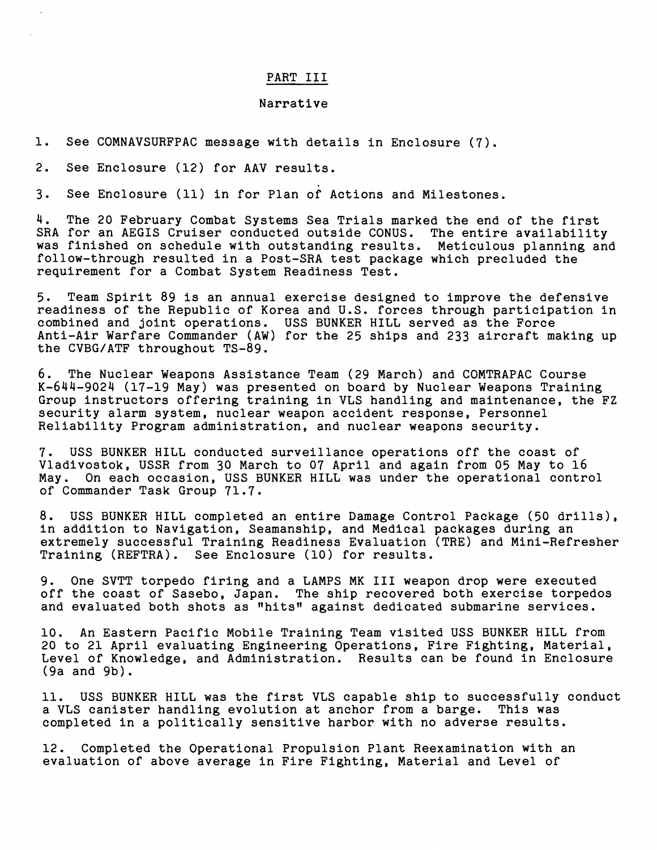## PART I11

#### Narrative

1. See COMNAVSURFPAC message with details in Enclosure (7).

2. See Enclosure (12) for AAV results.

3. See Enclosure (11) in for Plan of Actions and Milestones.

4. The 20 February Combat Systems Sea Trials marked the end of the first SRA for an AEGIS Cruiser conducted outside CONUS. The entire availability was finished on schedule with outstanding results. Meticulous planning and follow-through resulted in a Post-SRA test package which precluded the requirement for a Combat System Readiness Test.

5. Team Spirit 89 is an annual exercise designed to improve the defensive readiness of the Republic of Korea and U.S. forces through participation in combined and joint operations. USS BUNKER HILL served as the Force Anti-Air Warfare Commander (AW) for the 25 ships and 233 aircraft making up the CVBG/ATF throughout TS-89.

6. The Nuclear Weapons Assistance Team (29 March) and COMTRAPAC Course K-644-9024 (17-19 May) was presented on board by Nuclear Weapons Training Group instructors offering training in VLS handling and maintenance, the FZ security alarm system, nuclear weapon accident response, Personnel Reliability Program administration, and nuclear weapons security.

7. USS BUNKER HILL conducted surveillance operations off the coast of Vladivostok, USSR from 30 March to 07 April and again from 05 May to 16 May. On each occasion, USS BUNKER HILL was under the operational contre On each occasion, USS BUNKER HILL was under the operational control of Commander Task Group 71.7.

8. USS BUNKER HILL completed an entire Damage Control Package (50 drills), in addition to Navigation, Seamanship, and Medical packages during an extremely successful Training Readiness Evaluation (TRE) and Mini-Refresher Training (REFTRA). See Enclosure (10) for results.

9. One SVTT torpedo firing and a LAMPS MK I11 weapon drop were executed off the coast of Sasebo, Japan. The ship recovered both exercise torpedos and evaluated both shots as "hits" against dedicated submarine services.

10. An Eastern Pacific Mobile Training Team visited USS BUNKER HILL from 20 to 21 April evaluating Engineering Operations, Fire Fighting, Material, Level of Knowledge, and Administration. Results can be found in Enclosure (9a and 9b).

11. USS BUNKER HILL was the first VLS capable ship to successfully conduct<br>a VLS canister handling evolution at anchor from a barge. This was a VLS canister handling evolution at anchor from a barge. completed in a politically sensitive harbor with no adverse results.

12. Completed the Operational Propulsion Plant Reexamination with an evaluation of above average in Fire Fighting, Material and Level of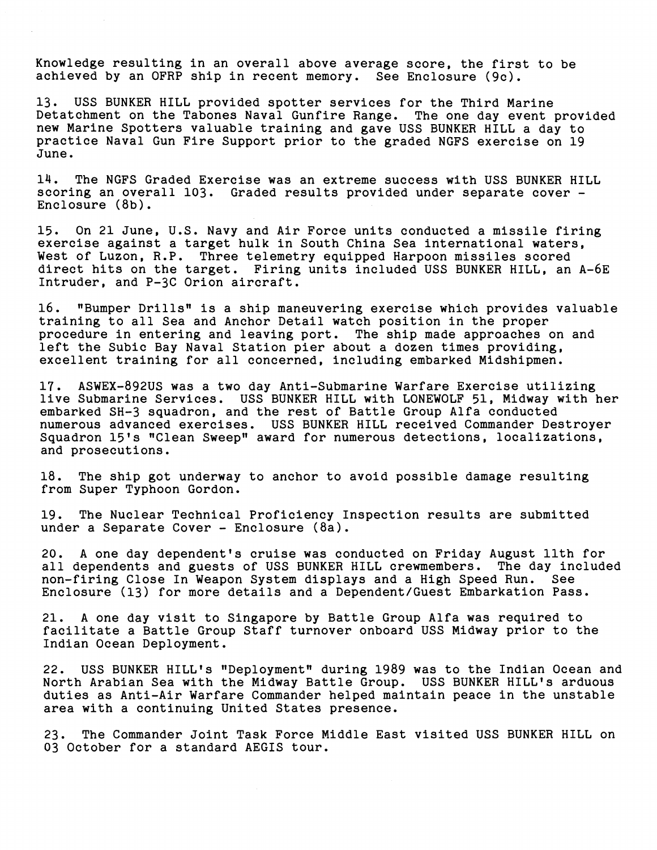Knowledge resulting in an overall above average score, the first to be achieved by an OFRP ship in recent memory. See Enclosure (9c).

13. USS BUNKER HILL provided spotter services for the Third Marine Detatchment on the Tabones Naval Gunfire Range. The one day event provided new Marine Spotters valuable training and gave USS BUNKER HILL a day to practice Naval Gun Fire Support prior to the graded NGFS exercise on 19 June.

14. The NGFS Graded Exercise was an extreme success with USS BUNKER HILL scoring an overall 103. Graded results provided under separate cover - Enclosure (8b).

15. On 21 June, U.S. Navy and Air Force units conducted a missile firing exercise against a target hulk in South China Sea international waters, West of Luzon, R.P. Three telemetry equipped Harpoon missiles scored direct hits on the target. Firing units included USS BUNKER HILL, an A-6E Intruder, and P-3C Orion aircraft.

16. "Bumper Drills" is a ship maneuvering exercise which provides valuable training to all Sea and Anchor Detail watch position in the proper procedure in entering and leaving port. The ship made approaches on and left the Subic Bay Naval Station pier about a dozen times providing, excellent training for all concerned, including embarked Midshipmen.

17. ASWEX-892US was a two day Anti-Submarine Warfare Exercise utilizing live Submarine Services. USS BUNKER HILL with LONEWOLF 51, Midway with her embarked SH-3 squadron, and the rest of Battle Group Alfa conducted numerous advanced exercises. USS BUNKER HILL received Commander Destroyer Squadron 15's "Clean Sweep" award for numerous detections, localizations, and prosecutions.

18. The ship got underway to anchor to avoid possible damage resulting from Super Typhoon Gordon.

19. The Nuclear Technical Proficiency Inspection results are submitted under a Separate Cover - Enclosure (8a).

20. A one day dependent's cruise was conducted on Friday August 11th for all dependents and guests of USS BUNKER HILL crewmembers. The day included<br>non-firing Close In Weapon System displays and a High Speed Run. See non-firing Close In Weapon System displays and a High Speed Run. Enclosure (13) for more details and a Dependent/Guest Embarkation Pass.

21. A one day visit to Singapore by Battle Group Alfa was required to facilitate a Battle Group Staff turnover onboard USS Midway prior to the Indian Ocean Deployment.

22. USS BUNKER HILL's "Deployment" during 1989 was to the Indian Ocean and North Arabian Sea with the Midway Battle Group. USS BUNKER HILL's arduous duties as Anti-Air Warfare Commander helped maintain peace in the unstable area with a continuing United States presence.

23. The Commander Joint Task Force Middle East visited USS BUNKER HILL on 03 October for a standard AEGIS tour.